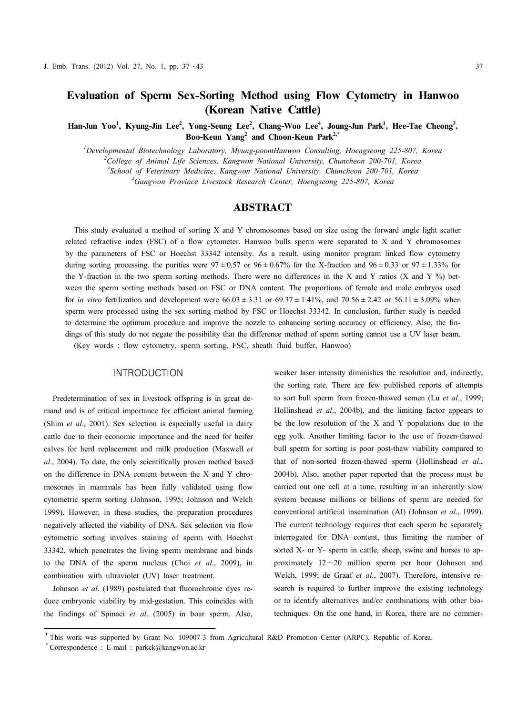# **Evaluation of Sperm Sex-Sorting Method using Flow Cytometry in Hanwoo (Korean Native Cattle)**

Han-Jun Yoo<sup>1</sup>, Kyung-Jin Lee<sup>2</sup>, Yong-Seung Lee<sup>2</sup>, Chang-Woo Lee<sup>4</sup>, Joung-Jun Park<sup>1</sup>, Hee-Tae Cheong<sup>3</sup>,<br>Boo-Keun Yang<sup>2</sup> and Choon-Keun Park<sup>2,\*</sup>

*Developmental Biotechnology Laboratory, Myung-poomHanwoo Consulting, Hoengseong 225-807, Korea College of Animal Life Sciences, Kangwon National University, Chuncheon 200-701, Korea School of Veterinary Medicine, Kangwon National University, Chuncheon 200-701, Korea Gangwon Province Livestock Research Center, Hoengseong 225-807, Korea*

## ABSTRACT

This study evaluated a method of sorting X and Y chromosomes based on size using the forward angle light scatter related refractive index (FSC) of a flow cytometer. Hanwoo bulls sperm were separated to X and Y chromosomes by the parameters of FSC or Hoechst 33342 intensity. As a result, using monitor program linked flow cytometry during sorting processing, the purities were  $97 \pm 0.57$  or  $96 \pm 0.67\%$  for the X-fraction and  $96 \pm 0.33$  or  $97 \pm 1.33\%$  for the Y-fraction in the two sperm sorting methods. There were no differences in the X and Y ratios (X and Y %) between the sperm sorting methods based on FSC or DNA content. The proportions of female and male embryos used for *in vitro* fertilization and development were  $66.03 \pm 3.31$  or  $69.37 \pm 1.41\%$ , and  $70.56 \pm 2.42$  or  $56.11 \pm 3.09\%$  when sperm were processed using the sex sorting method by FSC or Hoechst 33342. In conclusion, further study is needed to determine the optimum procedure and improve the nozzle to enhancing sorting accuracy or efficiency. Also, the fin dings of this study do not negate the possibility that the difference method of sperm sorting cannot use a UV laser beam. (Key words : flow cytometry, sperm sorting, FSC, sheath fluid buffer, Hanwoo)

### INTRODUCTION

Predetermination of sex in livestock offspring is in great de mand and is of critical importance for efficient animal farming (Shim *et al*., 2001). Sex selection is especially useful in dairy cattle due to their economic importance and the need for heifer calves for herd replacement and milk production (Maxwell *et al*., 2004). To date, the only scientifically proven method based on the difference in DNA content between the X and Y chro mosomes in mammals has been fully validated using flow cytometric sperm sorting (Johnson, 1995; Johnson and Welch 1999). However, in these studies, the preparation procedures negatively affected the viability of DNA. Sex selection via flow cytometric sorting involves staining of sperm with Hoechst 33342, which penetrates the living sperm membrane and binds to the DNA of the sperm nucleus (Choi *et al*., 2009), in combination with ultraviolet (UV) laser treatment.

Johnson *et al*. (1989) postulated that fluorochrome dyes re duce embryonic viability by mid-gestation. This coincides with the findings of Spinaci *et al*. (2005) in boar sperm. Also,

weaker laser intensity diminishes the resolution and, indirectly, the sorting rate. There are few published reports of attempts to sort bull sperm from frozen-thawed semen (Lu *et al*., 1999; Hollinshead *et al*., 2004b), and the limiting factor appears to be the low resolution of the X and Y populations due to the egg yolk. Another limiting factor to the use of frozen-thawed bull sperm for sorting is poor post-thaw viability compared to that of non-sorted frozen-thawed sperm (Hollinshead *et al*., 2004b). Also, another paper reported that the process must be carried out one cell at a time, resulting in an inherently slow system because millions or billions of sperm are needed for conventional artificial insemination (AI) (Johnson *et al*., 1999). The current technology requires that each sperm be separately interrogated for DNA content, thus limiting the number of sorted X- or Y- sperm in cattle, sheep, swine and horses to approximately  $12 - 20$  million sperm per hour (Johnson and Welch, 1999; de Graaf *et al*., 2007). Therefore, intensive re search is required to further improve the existing technology or to identify alternatives and/or combinations with other biotechniques. On the one hand, in Korea, there are no commer-

<sup>†</sup>This work was supported by Grant No. 109007-3 from Agricultural R&D Promotion Center (ARPC), Republic of Korea.

<sup>\*</sup> Correspondence : E-mail : parkck@kangwon.ac.kr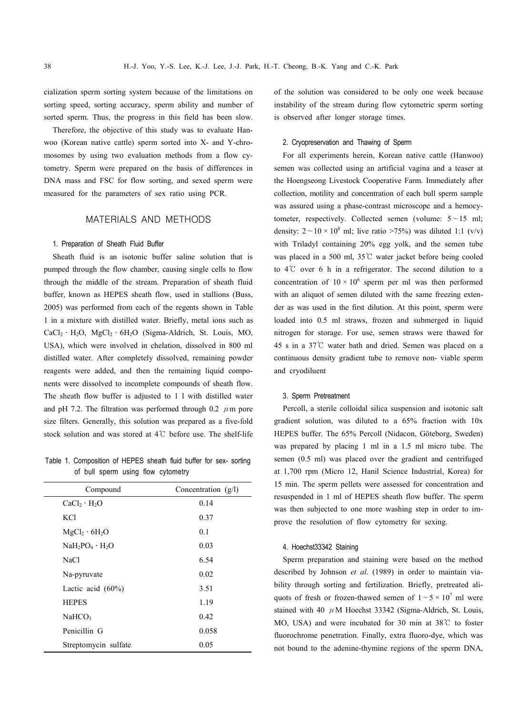cialization sperm sorting system because of the limitations on sorting speed, sorting accuracy, sperm ability and number of sorted sperm. Thus, the progress in this field has been slow.

Therefore, the objective of this study was to evaluate Han woo (Korean native cattle) sperm sorted into X- and Y-chro mosomes by using two evaluation methods from a flow cytometry. Sperm were prepared on the basis of differences in DNA mass and FSC for flow sorting, and sexed sperm were measured for the parameters of sex ratio using PCR.

## MATERIALS AND METHODS

#### 1. Preparation of Sheath Fluid Buffer

Sheath fluid is an isotonic buffer saline solution that is pumped through the flow chamber, causing single cells to flow through the middle of the stream. Preparation of sheath fluid buffer, known as HEPES sheath flow, used in stallions (Buss, 2005) was performed from each of the regents shown in Table 1 in a mixture with distilled water. Briefly, metal ions such as CaCl2․H2O, MgCl2․6H2O (Sigma-Aldrich, St. Louis, MO, USA), which were involved in chelation, dissolved in 800 ml distilled water. After completely dissolved, remaining powder reagents were added, and then the remaining liquid compo nents were dissolved to incomplete compounds of sheath flow. The sheath flow buffer is adjusted to 1 l with distilled water and pH 7.2. The filtration was performed through 0.2  $\mu$ m pore size filters. Generally, this solution was prepared as a five-fold stock solution and was stored at 4℃ before use. The shelf-life

Table 1. Composition of HEPES sheath fluid buffer for sex- sorting of bull sperm using flow cytometry

| Compound                              | Concentration $(g/l)$ |
|---------------------------------------|-----------------------|
| $CaCl2 \cdot H2O$                     | 0.14                  |
| KC1                                   | 0.37                  |
| MgCl <sub>2</sub> · 6H <sub>2</sub> O | 0.1                   |
| $NaH_2PO_4 \cdot H_2O$                | 0.03                  |
| NaCl                                  | 6.54                  |
| Na-pyruvate                           | 0.02                  |
| Lactic acid $(60\%)$                  | 3.51                  |
| <b>HEPES</b>                          | 1.19                  |
| NaHCO <sub>3</sub>                    | 0.42                  |
| Penicillin G                          | 0.058                 |
| Streptomycin sulfate                  | 0.05                  |

of the solution was considered to be only one week because instability of the stream during flow cytometric sperm sorting is observed after longer storage times.

#### 2. Cryopreservation and Thawing of Sperm

For all experiments herein, Korean native cattle (Hanwoo) semen was collected using an artificial vagina and a teaser at the Hoengseong Livestock Cooperative Farm. Immediately after collection, motility and concentration of each bull sperm sample was assured using a phase-contrast microscope and a hemocytometer, respectively. Collected semen (volume:  $5 \sim 15$  ml; density:  $2 \sim 10 \times 10^8$  ml; live ratio >75%) was diluted 1:1 (v/v) with Triladyl containing 20% egg yolk, and the semen tube was placed in a 500 ml, 35℃ water jacket before being cooled to 4℃ over 6 h in a refrigerator. The second dilution to a concentration of  $10 \times 10^6$  sperm per ml was then performed with an aliquot of semen diluted with the same freezing exten der as was used in the first dilution. At this point, sperm were loaded into 0.5 ml straws, frozen and submerged in liquid nitrogen for storage. For use, semen straws were thawed for 45 s in a 37℃ water bath and dried. Semen was placed on a continuous density gradient tube to remove non- viable sperm and cryodiluent

#### 3. Sperm Pretreatment

Percoll, a sterile colloidal silica suspension and isotonic salt gradient solution, was diluted to a 65% fraction with 10x HEPES buffer. The 65% Percoll (Nidacon, Göteborg, Sweden) was prepared by placing 1 ml in a 1.5 ml micro tube. The semen (0.5 ml) was placed over the gradient and centrifuged at 1,700 rpm (Micro 12, Hanil Science Industrial, Korea) for 15 min. The sperm pellets were assessed for concentration and resuspended in 1 ml of HEPES sheath flow buffer. The sperm was then subjected to one more washing step in order to im prove the resolution of flow cytometry for sexing.

## 4. Hoechst33342 Staining

Sperm preparation and staining were based on the method described by Johnson *et al*. (1989) in order to maintain via bility through sorting and fertilization. Briefly, pretreated ali quots of fresh or frozen-thawed semen of  $1 \sim 5 \times 10^7$  ml were stained with 40  $\mu$ M Hoechst 33342 (Sigma-Aldrich, St. Louis, MO, USA) and were incubated for 30 min at 38℃ to foster fluorochrome penetration. Finally, extra fluoro-dye, which was not bound to the adenine-thymine regions of the sperm DNA,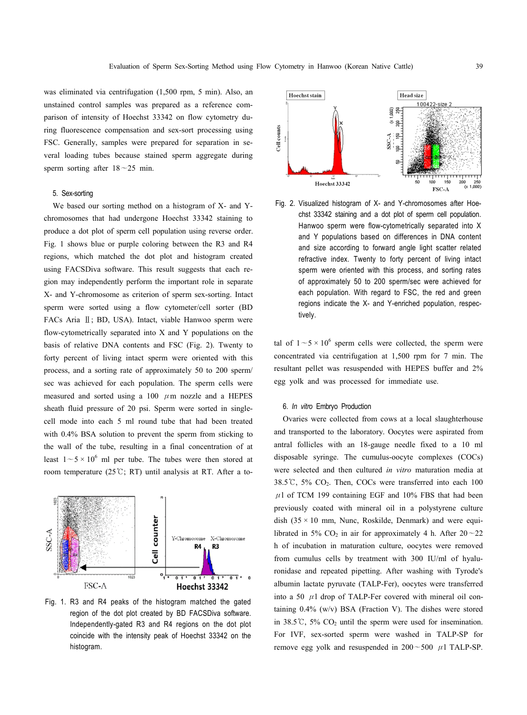was eliminated via centrifugation (1,500 rpm, 5 min). Also, an unstained control samples was prepared as a reference com parison of intensity of Hoechst 33342 on flow cytometry during fluorescence compensation and sex-sort processing using FSC. Generally, samples were prepared for separation in se veral loading tubes because stained sperm aggregate during sperm sorting after  $18 \sim 25$  min.

#### 5. Sex-sorting

We based our sorting method on a histogram of X- and Ychromosomes that had undergone Hoechst 33342 staining to produce a dot plot of sperm cell population using reverse order. Fig. 1 shows blue or purple coloring between the R3 and R4 regions, which matched the dot plot and histogram created using FACSDiva software. This result suggests that each re gion may independently perform the important role in separate X- and Y-chromosome as criterion of sperm sex-sorting. Intact sperm were sorted using a flow cytometer/cell sorter (BD FACs Aria <sup>Ⅱ</sup>; BD, USA). Intact, viable Hanwoo sperm were flow-cytometrically separated into X and Y populations on the basis of relative DNA contents and FSC (Fig. 2). Twenty to forty percent of living intact sperm were oriented with this process, and a sorting rate of approximately 50 to 200 sperm/ sec was achieved for each population. The sperm cells were measured and sorted using a 100  $\mu$ m nozzle and a HEPES sheath fluid pressure of 20 psi. Sperm were sorted in singlecell mode into each 5 ml round tube that had been treated with 0.4% BSA solution to prevent the sperm from sticking to the wall of the tube, resulting in a final concentration of at least  $1 \sim 5 \times 10^6$  ml per tube. The tubes were then stored at room temperature (25 °C; RT) until analysis at RT. After a to-



Fig. 1. R3 and R4 peaks of the histogram matched the gated region of the dot plot created by BD FACSDiva software. Independently-gated R3 and R4 regions on the dot plot coincide with the intensity peak of Hoechst 33342 on the histogram.



Fig. 2. Visualized histogram of X- and Y-chromosomes after Hoe chst 33342 staining and a dot plot of sperm cell population. Hanwoo sperm were flow-cytometrically separated into X and Y populations based on differences in DNA content and size according to forward angle light scatter related refractive index. Twenty to forty percent of living intact sperm were oriented with this process, and sorting rates of approximately 50 to 200 sperm/sec were achieved for each population. With regard to FSC, the red and green regions indicate the X- and Y-enriched population, respectively.

tal of  $1 \sim 5 \times 10^6$  sperm cells were collected, the sperm were concentrated via centrifugation at 1,500 rpm for 7 min. The resultant pellet was resuspended with HEPES buffer and 2% egg yolk and was processed for immediate use.

#### 6. *In vitro* Embryo Production

Ovaries were collected from cows at a local slaughterhouse and transported to the laboratory. Oocytes were aspirated from antral follicles with an 18-gauge needle fixed to a 10 ml disposable syringe. The cumulus-oocyte complexes (COCs) were selected and then cultured *in vitro* maturation media at 38.5℃, 5% CO2. Then, COCs were transferred into each 100  $\mu$ 1 of TCM 199 containing EGF and 10% FBS that had been previously coated with mineral oil in a polystyrene culture dish  $(35 \times 10 \text{ mm}, \text{ Nunc}, \text{ Roskilde}, \text{ Denmark})$  and were equilibrated in 5%  $CO<sub>2</sub>$  in air for approximately 4 h. After  $20 - 22$ h of incubation in maturation culture, oocytes were removed from cumulus cells by treatment with 300 IU/ml of hyaluronidase and repeated pipetting. After washing with Tyrode's albumin lactate pyruvate (TALP-Fer), oocytes were transferred into a 50  $\mu$ 1 drop of TALP-Fer covered with mineral oil containing  $0.4\%$  (w/v) BSA (Fraction V). The dishes were stored in 38.5 °C, 5%  $CO<sub>2</sub>$  until the sperm were used for insemination. For IVF, sex-sorted sperm were washed in TALP-SP for remove egg yolk and resuspended in  $200 \sim 500 \mu$ 1 TALP-SP.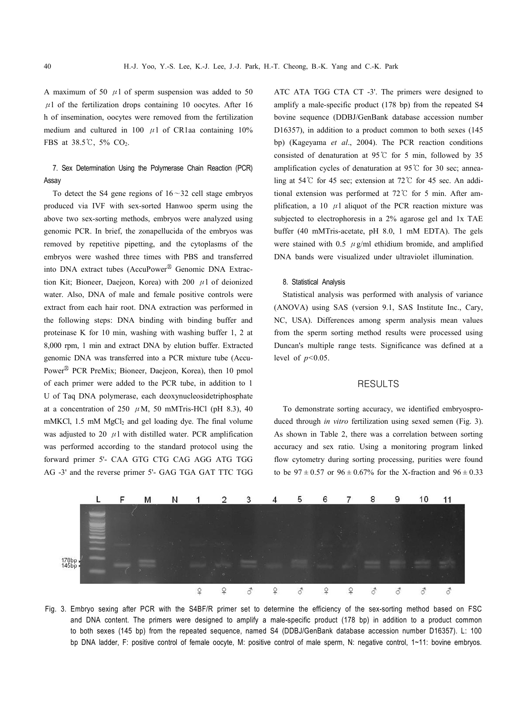A maximum of 50  $\mu$ 1 of sperm suspension was added to 50  $\mu$ 1 of the fertilization drops containing 10 oocytes. After 16 h of insemination, oocytes were removed from the fertilization medium and cultured in 100  $\mu$ 1 of CR1aa containing 10% FBS at 38.5℃, 5% CO2.

## 7. Sex Determination Using the Polymerase Chain Reaction (PCR) Assay

To detect the S4 gene regions of  $16 \sim 32$  cell stage embryos produced via IVF with sex-sorted Hanwoo sperm using the above two sex-sorting methods, embryos were analyzed using genomic PCR. In brief, the zonapellucida of the embryos was removed by repetitive pipetting, and the cytoplasms of the embryos were washed three times with PBS and transferred into DNA extract tubes (AccuPower<sup>®</sup> Genomic DNA Extraction Kit; Bioneer, Daejeon, Korea) with 200  $\mu$ 1 of deionized water. Also, DNA of male and female positive controls were extract from each hair root. DNA extraction was performed in the following steps: DNA binding with binding buffer and proteinase K for 10 min, washing with washing buffer 1, 2 at 8,000 rpm, 1 min and extract DNA by elution buffer. Extracted genomic DNA was transferred into a PCR mixture tube (Accu- Power<sup>®</sup> PCR PreMix; Bioneer, Daejeon, Korea), then 10 pmol of each primer were added to the PCR tube, in addition to 1 U of Taq DNA polymerase, each deoxynucleosidetriphosphate at a concentration of 250  $\mu$ M, 50 mMTris-HCl (pH 8.3), 40 mMKCl, 1.5 mM MgCl<sub>2</sub> and gel loading dye. The final volume was adjusted to 20  $\mu$ 1 with distilled water. PCR amplification was performed according to the stand forward primer 5'- CAA GTG CTG CAG AGG ATG TGG AG -3' and the reverse primer 5'- GAG TGA GAT TTC TGG ATC ATA TGG CTA CT -3'. The primers were designed to amplify a male-specific product (178 bp) from the repeated S4 bovine sequence (DDBJ/GenBank database accession number D16357), in addition to a product common to both sexes (145 bp) (Kageyama *et al*., 2004). The PCR reaction conditions consisted of denaturation at 95℃ for 5 min, followed by 35 amplification cycles of denaturation at 95℃ for 30 sec; annealing at 54℃ for 45 sec; extension at 72℃ for 45 sec. An additional extension was performed at 72℃ for 5 min. After am plification, a 10  $\mu$ 1 aliquot of the PCR reaction mixture was subjected to electrophoresis in a 2% agarose gel and 1x TAE buffer (40 mMTris-acetate, pH 8.0, 1 mM EDTA). The gels were stained with 0.5  $\mu$  g/ml ethidium bromide, and amplified DNA bands were visualized under ultraviolet illumination.

#### 8. Statistical Analysis

Statistical analysis was performed with analysis of variance (ANOVA) using SAS (version 9.1, SAS Institute Inc., Cary, NC, USA). Differences among sperm analysis mean values from the sperm sorting method results were processed using Duncan's multiple range tests. Significance was defined at a level of *p<*0.05.

#### RESULTS

To demonstrate sorting accuracy, we identified embryospro duced through *in vitro* fertilization using sexed semen (Fig. 3). As shown in Table 2, there was a correlation between sorting accuracy and sex ratio. Using a monitoring program linked flow cytometry during sorting processing, purities were found to be  $97 \pm 0.57$  or  $96 \pm 0.67\%$  for the X-fraction and  $96 \pm 0.33$ 



Fig. 3. Embryo sexing after PCR with the S4BF/R primer set to determine the efficiency of the sex-sorting method based on FSC and DNA content. The primers were designed to amplify a male-specific product (178 bp) in addition to a product common to both sexes (145 bp) from the repeated sequence, named S4 (DDBJ/GenBank database accession number D16357). L: 100 bp DNA ladder, F: positive control of female oocyte, M: positive control of male sperm, N: negative control, 1~11: bovine embryos.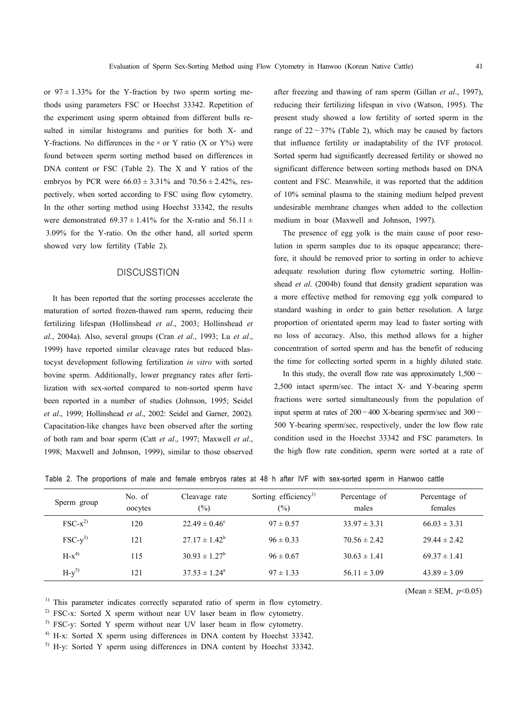or  $97 \pm 1.33\%$  for the Y-fraction by two sperm sorting methods using parameters FSC or Hoechst 33342. Repetition of the experiment using sperm obtained from different bulls re sulted in similar histograms and purities for both X- and Y-fractions. No differences in the  $\times$  or Y ratio (X or Y%) were found between sperm sorting method based on differences in DNA content or FSC (Table 2). The X and Y ratios of the embryos by PCR were  $66.03 \pm 3.31\%$  and  $70.56 \pm 2.42\%$ , res-

pectively, when sorted according to FSC using flow cytometry. In the other sorting method using Hoechst 33342, the results were demonstrated 69.37  $\pm$  1.41% for the X-ratio and 56.11  $\pm$ 3.09% for the Y-ratio. On the other hand, all sorted sperm showed very low fertility (Table 2).

## **DISCUSSTION**

It has been reported that the sorting processes accelerate the maturation of sorted frozen-thawed ram sperm, reducing their fertilizing lifespan (Hollinshead *et al*., 2003; Hollinshead *et al*., 2004a). Also, several groups (Cran *et al*., 1993; Lu *et al*., 1999) have reported similar cleavage rates but reduced blastocyst development following fertilization *in vitro* with sorted bovine sperm. Additionally, lower pregnancy rates after fertilization with sex-sorted compared to non-sorted sperm have been reported in a number of studies (Johnson, 1995; Seidel *et al*., 1999; Hollinshead *et al*., 2002: Seidel and Garner, 2002). Capacitation-like changes have been observed after the sorting of both ram and boar sperm (Catt *et al*., 1997; Maxwell *et al*., 1998; Maxwell and Johnson, 1999), similar to those observed

after freezing and thawing of ram sperm (Gillan *et al*., 1997), reducing their fertilizing lifespan in vivo (Watson, 1995). The present study showed a low fertility of sorted sperm in the range of  $22 \sim 37\%$  (Table 2), which may be caused by factors that influence fertility or inadaptability of the IVF protocol. Sorted sperm had significantly decreased fertility or showed no significant difference between sorting methods based on DNA content and FSC. Meanwhile, it was reported that the addition of 10% seminal plasma to the staining medium helped prevent undesirable membrane changes when added to the collection medium in boar (Maxwell and Johnson, 1997).

The presence of egg yolk is the main cause of poor resolution in sperm samples due to its opaque appearance; therefore, it should be removed prior to sorting in order to achieve adequate resolution during flow cytometric sorting. Hollin shead *et al*. (2004b) found that density gradient separation was a more effective method for removing egg yolk compared to standard washing in order to gain better resolution. A large proportion of orientated sperm may lead to faster sorting with no loss of accuracy. Also, this method allows for a higher concentration of sorted sperm and has the benefit of reducing the time for collecting sorted sperm in a highly diluted state.

In this study, the overall flow rate was approximately  $1,500 \sim$ 2,500 intact sperm/sec. The intact X- and Y-bearing sperm fractions were sorted simultaneously from the population of input sperm at rates of  $200 \sim 400$  X-bearing sperm/sec and  $300 \sim$ 500 Y-bearing sperm/sec, respectively, under the low flow rate condition used in the Hoechst 33342 and FSC parameters. In the high flow rate condition, sperm were sorted at a rate of

|  | Table 2. The proportions of male and female embryos rates at 48 h after IVF with sex-sorted sperm in Hanwoo cattle |  |
|--|--------------------------------------------------------------------------------------------------------------------|--|
|--|--------------------------------------------------------------------------------------------------------------------|--|

| Sperm group | No. of<br>oocytes | Cleavage rate<br>(%)     | Sorting efficiency <sup>1)</sup><br>$(\%)$ | Percentage of<br>males | Percentage of<br>females |  |
|-------------|-------------------|--------------------------|--------------------------------------------|------------------------|--------------------------|--|
| $FSC-x^{2}$ | 120               | $22.49 \pm 0.46^{\circ}$ | $97 \pm 0.57$                              | $33.97 \pm 3.31$       | $66.03 \pm 3.31$         |  |
| $FSC-y^{3}$ | 121               | $27.17 \pm 1.42^b$       | $96 \pm 0.33$                              | $70.56 \pm 2.42$       | $29.44 \pm 2.42$         |  |
| $H-x^{4}$   | 115               | $30.93 \pm 1.27^b$       | $96 \pm 0.67$                              | $30.63 \pm 1.41$       | $69.37 \pm 1.41$         |  |
| $H-y^{5}$   | 121               | $37.53 \pm 1.24^{\circ}$ | $97 \pm 1.33$                              | $56.11 \pm 3.09$       | $43.89 \pm 3.09$         |  |

(Mean  $\pm$  SEM,  $p$ <0.05)

 $1)$  This parameter indicates correctly separated ratio of sperm in flow cytometry.

<sup>2)</sup> FSC-x: Sorted X sperm without near UV laser beam in flow cytometry.

<sup>3)</sup> FSC-y: Sorted Y sperm without near UV laser beam in flow cytometry.

<sup>4)</sup> H-x: Sorted X sperm using differences in DNA content by Hoechst 33342.

5) H-y: Sorted Y sperm using differences in DNA content by Hoechst 33342.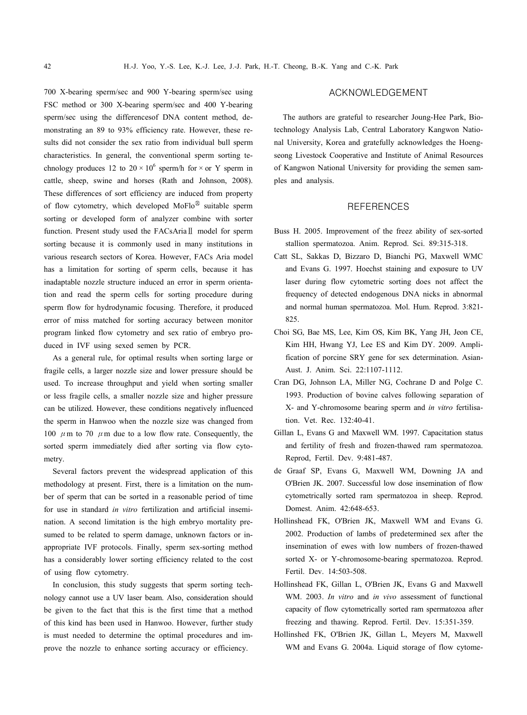700 X-bearing sperm/sec and 900 Y-bearing sperm/sec using FSC method or 300 X-bearing sperm/sec and 400 Y-bearing sperm/sec using the differencesof DNA content method, de monstrating an 89 to 93% efficiency rate. However, these re sults did not consider the sex ratio from individual bull sperm characteristics. In general, the conventional sperm sorting te chnology produces 12 to  $20 \times 10^6$  sperm/h for  $\times$  or Y sperm in cattle, sheep, swine and horses (Rath and Johnson, 2008). These differences of sort efficiency are induced from property of flow cytometry, which developed  $MoFlo^@$  suitable sperm sorting or developed form of analyzer combine with sorter function. Present study used the FACsAriaⅡ model for sperm sorting because it is commonly used in many institutions in various research sectors of Korea. However, FACs Aria model has a limitation for sorting of sperm cells, because it has inadaptable nozzle structure induced an error in sperm orientation and read the sperm cells for sorting procedure during sperm flow for hydrodynamic focusing. Therefore, it produced error of miss matched for sorting accuracy between monitor program linked flow cytometry and sex ratio of embryo pro duced in IVF using sexed semen by PCR.

As a general rule, for optimal results when sorting large or fragile cells, a larger nozzle size and lower pressure should be used. To increase throughput and yield when sorting smaller or less fragile cells, a smaller nozzle size and higher pressure can be utilized. However, these conditions negatively influenced the sperm in Hanwoo when the nozzle size was changed from 100  $\mu$ m to 70  $\mu$ m due to a low flow rate. Consequently, the sorted sperm immediately died after sorting via flow cyto metry.

Several factors prevent the widespread application of this methodology at present. First, there is a limitation on the num ber of sperm that can be sorted in a reasonable period of time for use in standard *in vitro* fertilization and artificial insemi nation. A second limitation is the high embryo mortality pre sumed to be related to sperm damage, unknown factors or in appropriate IVF protocols. Finally, sperm sex-sorting method has a considerably lower sorting efficiency related to the cost of using flow cytometry.

In conclusion, this study suggests that sperm sorting tech nology cannot use a UV laser beam. Also, consideration should be given to the fact that this is the first time that a method of this kind has been used in Hanwoo. However, further study is must needed to determine the optimal procedures and im prove the nozzle to enhance sorting accuracy or efficiency.

## ACKNOWLEDGEMENT

The authors are grateful to researcher Joung-Hee Park, Biotechnology Analysis Lab, Central Laboratory Kangwon Natio nal University, Korea and gratefully acknowledges the Hoeng seong Livestock Cooperative and Institute of Animal Resources of Kangwon National University for providing the semen sam ples and analysis.

## REFERENCES

- Buss H. 2005. Improvement of the freez ability of sex-sorted stallion spermatozoa. Anim. Reprod. Sci. 89:315-318.
- Catt SL, Sakkas D, Bizzaro D, Bianchi PG, Maxwell WMC and Evans G. 1997. Hoechst staining and exposure to UV laser during flow cytometric sorting does not affect the frequency of detected endogenous DNA nicks in abnormal and normal human spermatozoa. Mol. Hum. Reprod. 3:821- 825.
- Choi SG, Bae MS, Lee, Kim OS, Kim BK, Yang JH, Jeon CE, Kim HH, Hwang YJ, Lee ES and Kim DY. 2009. Amplification of porcine SRY gene for sex determination. Asian-Aust. J. Anim. Sci. 22:1107-1112.
- Cran DG, Johnson LA, Miller NG, Cochrane D and Polge C. 1993. Production of bovine calves following separation of X- and Y-chromosome bearing sperm and *in vitro* fertilisation. Vet. Rec. 132:40-41.
- Gillan L, Evans G and Maxwell WM. 1997. Capacitation status and fertility of fresh and frozen-thawed ram spermatozoa. Reprod, Fertil. Dev. 9:481-487.
- de Graaf SP, Evans G, Maxwell WM, Downing JA and O'Brien JK. 2007. Successful low dose insemination of flow cytometrically sorted ram spermatozoa in sheep. Reprod. Domest. Anim. 42:648-653.
- Hollinshead FK, O'Brien JK, Maxwell WM and Evans G. 2002. Production of lambs of predetermined sex after the insemination of ewes with low numbers of frozen-thawed sorted X- or Y-chromosome-bearing spermatozoa. Reprod. Fertil. Dev. 14:503-508.
- Hollinshead FK, Gillan L, O'Brien JK, Evans G and Maxwell WM. 2003. *In vitro* and *in vivo* assessment of functional capacity of flow cytometrically sorted ram spermatozoa after freezing and thawing. Reprod. Fertil. Dev. 15:351-359.
- Hollinshed FK, O'Brien JK, Gillan L, Meyers M, Maxwell WM and Evans G. 2004a. Liquid storage of flow cytome-